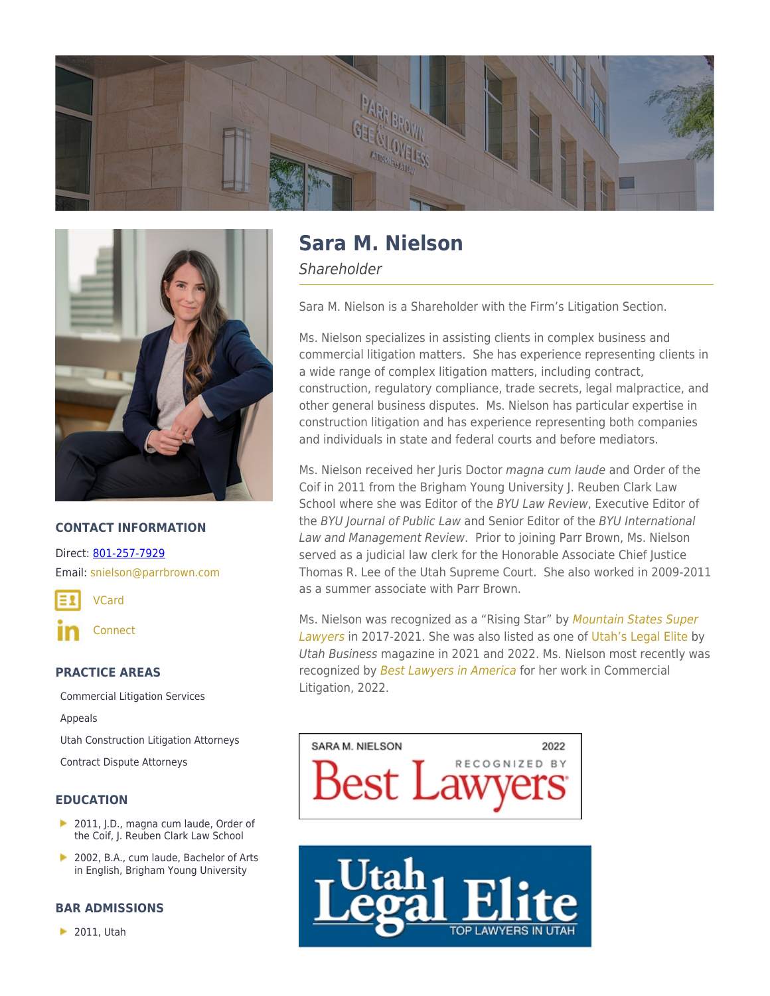



## **CONTACT INFORMATION**

Direct: [801-257-7929](https://parrbrown.com/tel:1-801-257-7929) Email: [snielson@parrbrown.com](mailto:snielson@parrbrown.com)

[VCard](https://parrbrown.com/wp-content/uploads/2018/02/Sara-M.-Nielson-2.vcf)

**[Connect](https://www.linkedin.com/pub/sara-nielson/87/969/494)** 

#### **PRACTICE AREAS**

[Commercial Litigation Services](https://parrbrown.com/services/commercial-litigation/) [Appeals](https://parrbrown.com/services/commercial-litigation/appeals/) [Utah Construction Litigation Attorneys](https://parrbrown.com/services/commercial-litigation/construction-litigation/)

[Contract Dispute Attorneys](https://parrbrown.com/services/commercial-litigation/contract-disputes/)

#### **EDUCATION**

- 2011, J.D., magna cum laude, Order of the Coif, J. Reuben Clark Law School
- **In** 2002, B.A., cum laude, Bachelor of Arts in English, Brigham Young University

## **BAR ADMISSIONS**

**2011**, Utah

# **Sara M. Nielson**

**Shareholder** 

Sara M. Nielson is a Shareholder with the Firm's Litigation Section.

Ms. Nielson specializes in assisting clients in complex business and commercial litigation matters. She has experience representing clients in a wide range of complex litigation matters, including contract, construction, regulatory compliance, trade secrets, legal malpractice, and other general business disputes. Ms. Nielson has particular expertise in construction litigation and has experience representing both companies and individuals in state and federal courts and before mediators.

Ms. Nielson received her Juris Doctor magna cum laude and Order of the Coif in 2011 from the Brigham Young University J. Reuben Clark Law School where she was Editor of the BYU Law Review, Executive Editor of the BYU Journal of Public Law and Senior Editor of the BYU International Law and Management Review. Prior to joining Parr Brown, Ms. Nielson served as a judicial law clerk for the Honorable Associate Chief Justice Thomas R. Lee of the Utah Supreme Court. She also worked in 2009-2011 as a summer associate with Parr Brown.

Ms. Nielson was recognized as a "Rising Star" by [Mountain States Super](https://www.superlawyers.com/utah/toplists/) [Lawyers](https://www.superlawyers.com/utah/toplists/) in 2017-2021. She was also listed as one of [Utah's Legal Elite](https://www.utahbusiness.com/meet-the-2022-legal-elite/) by Utah Business magazine in 2021 and 2022. Ms. Nielson most recently was recognized by [Best Lawyers in America](https://www.bestlawyers.com/) for her work in Commercial Litigation, 2022.

SARA M. NIELSON 2022 Best Law